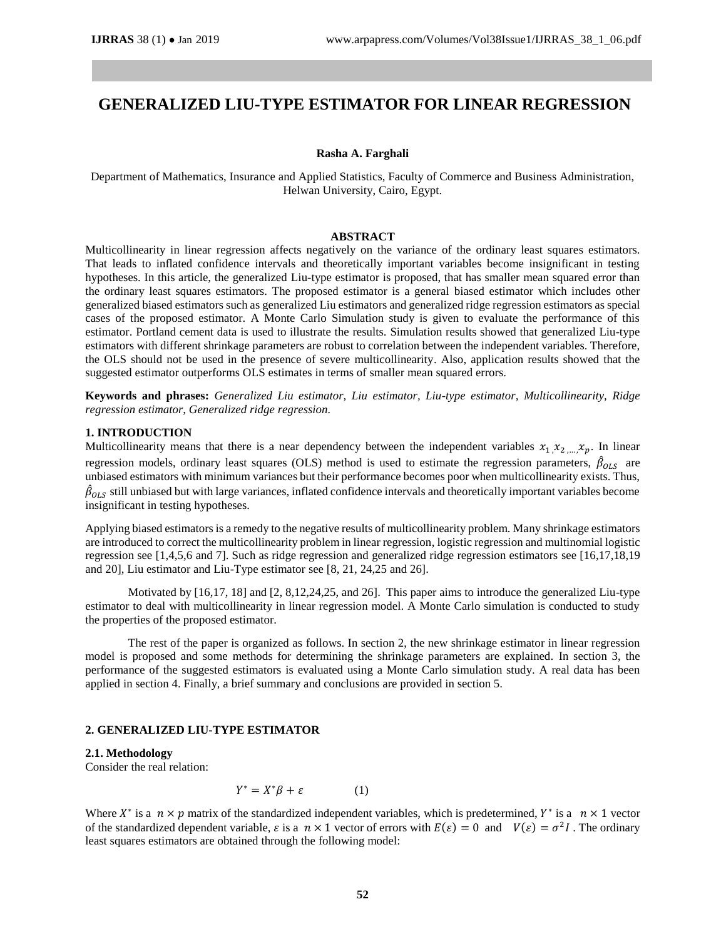# **GENERALIZED LIU-TYPE ESTIMATOR FOR LINEAR REGRESSION**

#### **Rasha A. Farghali**

Department of Mathematics, Insurance and Applied Statistics, Faculty of Commerce and Business Administration, Helwan University, Cairo, Egypt.

## **ABSTRACT**

Multicollinearity in linear regression affects negatively on the variance of the ordinary least squares estimators. That leads to inflated confidence intervals and theoretically important variables become insignificant in testing hypotheses. In this article, the generalized Liu-type estimator is proposed, that has smaller mean squared error than the ordinary least squares estimators. The proposed estimator is a general biased estimator which includes other generalized biased estimators such as generalized Liu estimators and generalized ridge regression estimators as special cases of the proposed estimator. A Monte Carlo Simulation study is given to evaluate the performance of this estimator. Portland cement data is used to illustrate the results. Simulation results showed that generalized Liu-type estimators with different shrinkage parameters are robust to correlation between the independent variables. Therefore, the OLS should not be used in the presence of severe multicollinearity. Also, application results showed that the suggested estimator outperforms OLS estimates in terms of smaller mean squared errors.

**Keywords and phrases:** *Generalized Liu estimator, Liu estimator, Liu-type estimator, Multicollinearity, Ridge regression estimator, Generalized ridge regression.*

# **1. INTRODUCTION**

Multicollinearity means that there is a near dependency between the independent variables  $x_1, x_2, ..., x_p$ . In linear regression models, ordinary least squares (OLS) method is used to estimate the regression parameters,  $\hat{\beta}_{OLS}$  are unbiased estimators with minimum variances but their performance becomes poor when multicollinearity exists. Thus,  $\hat{\beta}_{OLS}$  still unbiased but with large variances, inflated confidence intervals and theoretically important variables become insignificant in testing hypotheses.

Applying biased estimators is a remedy to the negative results of multicollinearity problem. Many shrinkage estimators are introduced to correct the multicollinearity problem in linear regression, logistic regression and multinomial logistic regression see [1,4,5,6 and 7]. Such as ridge regression and generalized ridge regression estimators see [16,17,18,19 and 20], Liu estimator and Liu-Type estimator see [8, 21, 24,25 and 26].

Motivated by [16,17, 18] and [2, 8,12,24,25, and 26]. This paper aims to introduce the generalized Liu-type estimator to deal with multicollinearity in linear regression model. A Monte Carlo simulation is conducted to study the properties of the proposed estimator.

The rest of the paper is organized as follows. In section 2, the new shrinkage estimator in linear regression model is proposed and some methods for determining the shrinkage parameters are explained. In section 3, the performance of the suggested estimators is evaluated using a Monte Carlo simulation study. A real data has been applied in section 4. Finally, a brief summary and conclusions are provided in section 5.

## **2. GENERALIZED LIU-TYPE ESTIMATOR**

# **2.1. Methodology**

Consider the real relation:

$$
Y^* = X^* \beta + \varepsilon \tag{1}
$$

Where  $X^*$  is a  $n \times p$  matrix of the standardized independent variables, which is predetermined,  $Y^*$  is a  $n \times 1$  vector of the standardized dependent variable,  $\varepsilon$  is a  $n \times 1$  vector of errors with  $E(\varepsilon) = 0$  and  $V(\varepsilon) = \sigma^2 I$ . The ordinary least squares estimators are obtained through the following model: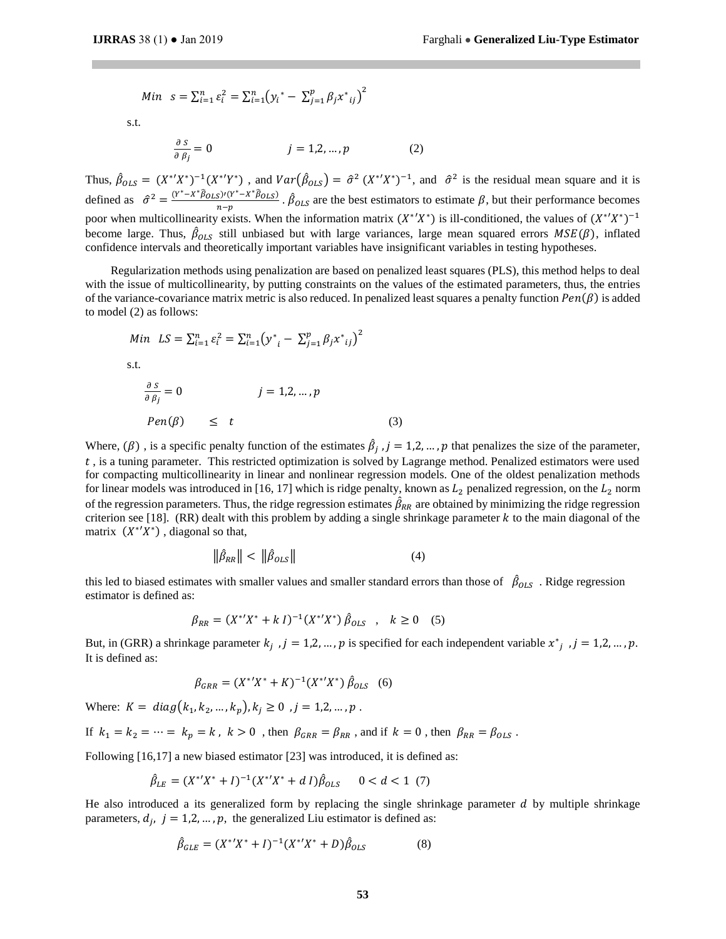Min 
$$
s = \sum_{i=1}^{n} \varepsilon_i^2 = \sum_{i=1}^{n} (y_i^* - \sum_{j=1}^{p} \beta_j x^*_{ij})^2
$$

s.t.

$$
\frac{\partial s}{\partial \beta_j} = 0 \qquad j = 1, 2, ..., p \qquad (2)
$$

Thus,  $\hat{\beta}_{OLS} = (X^*Y^*)^{-1}(X^*Y^*)$ , and  $Var(\hat{\beta}_{OLS}) = \hat{\sigma}^2 (X^*Y^*)^{-1}$ , and  $\hat{\sigma}^2$  is the residual mean square and it is defined as  $\hat{\sigma}^2 = \frac{(Y^* - X^*\hat{\beta}_{OLS})'(Y^* - X^*\hat{\beta}_{OLS})}{T}$  $\frac{(S)^{1}(Y^T - X^T \beta_{OLS})}{n-p}$ .  $\hat{\beta}_{OLS}$  are the best estimators to estimate  $\beta$ , but their performance becomes poor when multicollinearity exists. When the information matrix  $(X^*Y^*)$  is ill-conditioned, the values of  $(X^*Y^*)^{-1}$ become large. Thus,  $\hat{\beta}_{OLS}$  still unbiased but with large variances, large mean squared errors  $MSE(\beta)$ , inflated confidence intervals and theoretically important variables have insignificant variables in testing hypotheses.

Regularization methods using penalization are based on penalized least squares (PLS), this method helps to deal with the issue of multicollinearity, by putting constraints on the values of the estimated parameters, thus, the entries of the variance-covariance matrix metric is also reduced. In penalized least squares a penalty function  $Pen(\beta)$  is added to model (2) as follows:

$$
Min \quad LS = \sum_{i=1}^{n} \varepsilon_i^2 = \sum_{i=1}^{n} (y^*_{i} - \sum_{j=1}^{p} \beta_j x^*_{ij})^2
$$
\n
$$
s.t.
$$
\n
$$
\frac{\partial s}{\partial \beta_j} = 0 \qquad j = 1, 2, ..., p
$$
\n
$$
Pen(\beta) \leq t \qquad (3)
$$

Where,  $(\beta)$ , is a specific penalty function of the estimates  $\hat{\beta}_j$ ,  $j = 1,2,...,p$  that penalizes the size of the parameter, , is a tuning parameter. This restricted optimization is solved by Lagrange method. Penalized estimators were used for compacting multicollinearity in linear and nonlinear regression models. One of the oldest penalization methods for linear models was introduced in [16, 17] which is ridge penalty, known as  $L_2$  penalized regression, on the  $L_2$  norm of the regression parameters. Thus, the ridge regression estimates  $\hat{\beta}_{RR}$  are obtained by minimizing the ridge regression criterion see [18]. (RR) dealt with this problem by adding a single shrinkage parameter  $k$  to the main diagonal of the matrix  $(X^*Y^*)$ , diagonal so that,

$$
\|\hat{\beta}_{RR}\| < \|\hat{\beta}_{OLS}\| \tag{4}
$$

this led to biased estimates with smaller values and smaller standard errors than those of  $\beta_{OLS}$ . Ridge regression estimator is defined as:

$$
\beta_{RR} = (X^*Y^* + kI)^{-1}(X^*Y^*)\hat{\beta}_{OLS} , k \ge 0
$$
 (5)

But, in (GRR) a shrinkage parameter  $k_j$ ,  $j = 1,2,...,p$  is specified for each independent variable  $x^*_{j}$ ,  $j = 1,2,...,p$ . It is defined as:

$$
\beta_{GRR} = (X^*Y^* + K)^{-1}(X^*Y^*) \hat{\beta}_{OLS} \quad (6)
$$

Where:  $K = diag(k_1, k_2, ..., k_p), k_j \ge 0, j = 1, 2, ..., p$ .

If  $k_1 = k_2 = \cdots = k_p = k$ ,  $k > 0$ , then  $\beta_{\text{GRR}} = \beta_{\text{RR}}$ , and if  $k = 0$ , then  $\beta_{\text{RR}} = \beta_{\text{OLS}}$ .

Following [16,17] a new biased estimator [23] was introduced, it is defined as:

$$
\hat{\beta}_{LE} = (X^*X^* + I)^{-1}(X^*X^* + dI)\hat{\beta}_{OLS} \qquad 0 < d < 1 \tag{7}
$$

He also introduced a its generalized form by replacing the single shrinkage parameter  $d$  by multiple shrinkage parameters,  $d_j$ ,  $j = 1,2,...,p$ , the generalized Liu estimator is defined as:

$$
\hat{\beta}_{GLE} = (X^* ' X^* + I)^{-1} (X^* ' X^* + D) \hat{\beta}_{OLS} \tag{8}
$$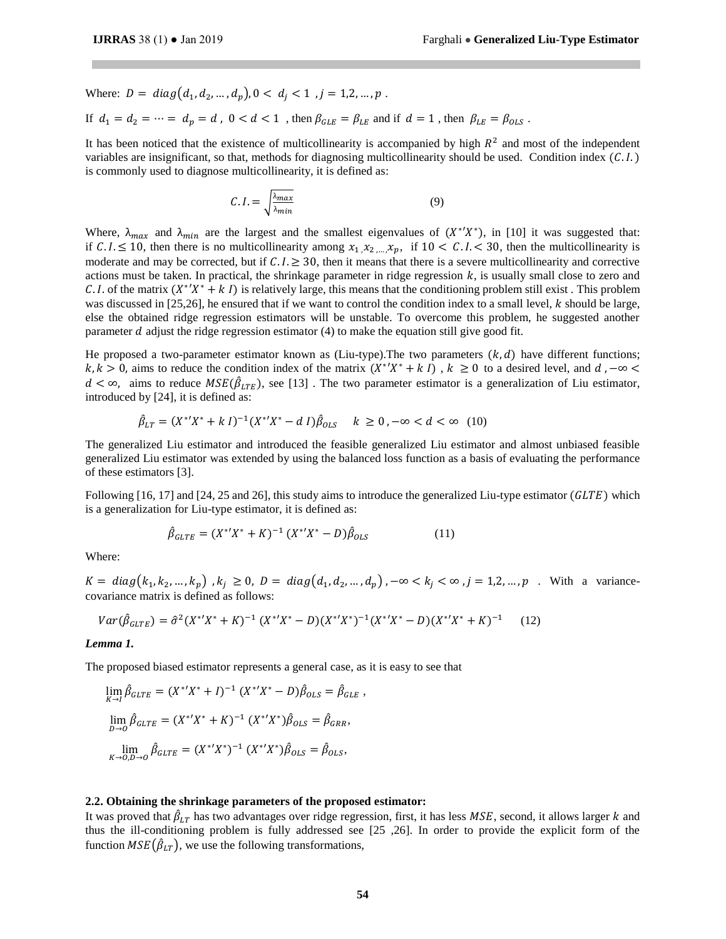Where:  $D = diag(d_1, d_2, ..., d_p), 0 < d_j < 1, j = 1, 2, ..., p$ . If  $d_1 = d_2 = \cdots = d_p = d$ ,  $0 < d < 1$ , then  $\beta_{GLE} = \beta_{LE}$  and if  $d = 1$ , then  $\beta_{LE} = \beta_{OLS}$ .

It has been noticed that the existence of multicollinearity is accompanied by high  $R<sup>2</sup>$  and most of the independent variables are insignificant, so that, methods for diagnosing multicollinearity should be used. Condition index  $(C.1.)$ is commonly used to diagnose multicollinearity, it is defined as:

$$
C.I. = \sqrt{\frac{\lambda_{max}}{\lambda_{min}}} \tag{9}
$$

Where,  $\lambda_{max}$  and  $\lambda_{min}$  are the largest and the smallest eigenvalues of  $(X^*/X^*)$ , in [10] it was suggested that: if  $C \le 10$ , then there is no multicollinearity among  $x_1, x_2, ..., x_p$ , if  $10 < C \le 30$ , then the multicollinearity is moderate and may be corrected, but if  $C.I.\geq 30$ , then it means that there is a severe multicollinearity and corrective actions must be taken. In practical, the shrinkage parameter in ridge regression  $k$ , is usually small close to zero and C. I. of the matrix  $(X^*Y^* + kI)$  is relatively large, this means that the conditioning problem still exist. This problem was discussed in [25,26], he ensured that if we want to control the condition index to a small level,  $k$  should be large, else the obtained ridge regression estimators will be unstable. To overcome this problem, he suggested another parameter  $d$  adjust the ridge regression estimator (4) to make the equation still give good fit.

He proposed a two-parameter estimator known as (Liu-type). The two parameters  $(k, d)$  have different functions;  $k, k > 0$ , aims to reduce the condition index of the matrix  $(X^*Y^* + kI)$ ,  $k \ge 0$  to a desired level, and  $d, -\infty$  $d < \infty$ , aims to reduce  $MSE(\hat{\beta}_{LTE})$ , see [13]. The two parameter estimator is a generalization of Liu estimator, introduced by [24], it is defined as:

$$
\hat{\beta}_{LT} = (X^*Y^* + kI)^{-1}(X^*Y^* - dI)\hat{\beta}_{OLS} \quad k \ge 0, -\infty < d < \infty \tag{10}
$$

The generalized Liu estimator and introduced the feasible generalized Liu estimator and almost unbiased feasible generalized Liu estimator was extended by using the balanced loss function as a basis of evaluating the performance of these estimators [3].

Following [16, 17] and [24, 25 and 26], this study aims to introduce the generalized Liu-type estimator ( $GLTE$ ) which is a generalization for Liu-type estimator, it is defined as:

$$
\hat{\beta}_{GLTE} = (X^*X^* + K)^{-1} (X^*X^* - D)\hat{\beta}_{OLS}
$$
\n(11)

Where:

 $K = diag(k_1, k_2, ..., k_p)$  ,  $k_j \ge 0$ ,  $D = diag(d_1, d_2, ..., d_p)$ ,  $-\infty < k_j < \infty$ ,  $j = 1, 2, ..., p$ . With a variancecovariance matrix is defined as follows:

$$
Var(\hat{\beta}_{GLTE}) = \hat{\sigma}^2 (X^* X^* + K)^{-1} (X^* X^* - D)(X^* X^*)^{-1} (X^* X^* - D)(X^* X^* + K)^{-1}
$$
 (12)

#### *Lemma 1.*

The proposed biased estimator represents a general case, as it is easy to see that

$$
\lim_{K \to I} \hat{\beta}_{GLTE} = (X^*X^* + I)^{-1} (X^*X^* - D)\hat{\beta}_{OLS} = \hat{\beta}_{GLE},
$$
  

$$
\lim_{D \to 0} \hat{\beta}_{GLTE} = (X^*X^* + K)^{-1} (X^*X^*)\hat{\beta}_{OLS} = \hat{\beta}_{GRR},
$$
  

$$
\lim_{K \to 0, D \to 0} \hat{\beta}_{GLTE} = (X^*X^*)^{-1} (X^*X^*)\hat{\beta}_{OLS} = \hat{\beta}_{OLS},
$$

## **2.2. Obtaining the shrinkage parameters of the proposed estimator:**

It was proved that  $\hat\beta_{LT}$  has two advantages over ridge regression, first, it has less  $MSE$ , second, it allows larger  $k$  and thus the ill-conditioning problem is fully addressed see [25 ,26]. In order to provide the explicit form of the function  $MSE(\hat{\beta}_{LT})$ , we use the following transformations,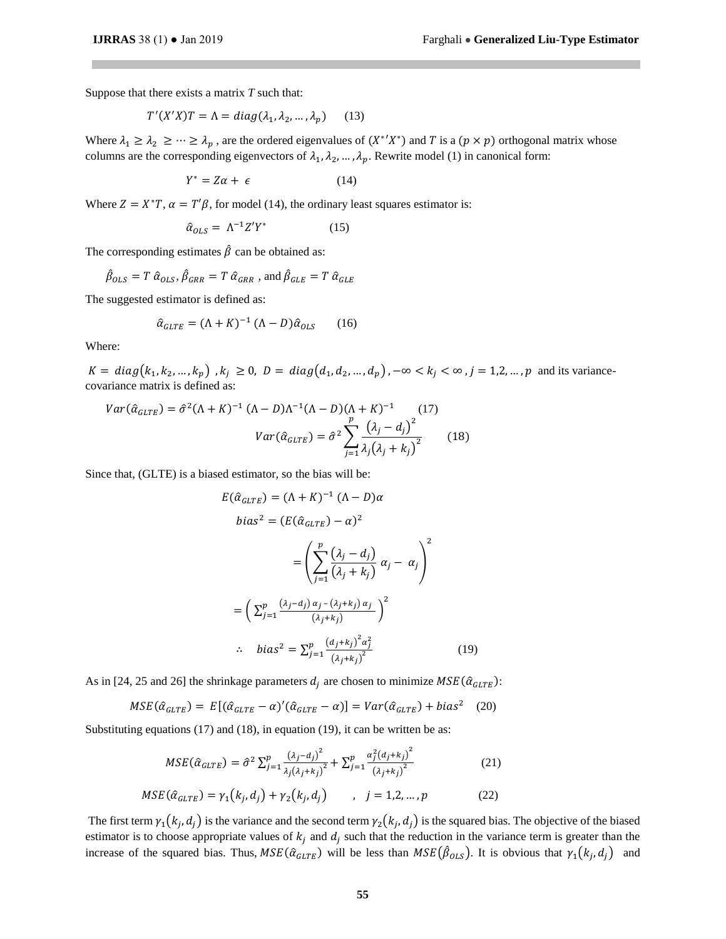Suppose that there exists a matrix *T* such that:

$$
T'(X'X)T = \Lambda = diag(\lambda_1, \lambda_2, ..., \lambda_p)
$$
 (13)

Where  $\lambda_1 \ge \lambda_2 \ge \cdots \ge \lambda_p$ , are the ordered eigenvalues of  $(X^*Y^*)$  and T is a  $(p \times p)$  orthogonal matrix whose columns are the corresponding eigenvectors of  $\lambda_1, \lambda_2, ..., \lambda_p$ . Rewrite model (1) in canonical form:

$$
Y^* = Z\alpha + \epsilon \tag{14}
$$

Where  $Z = X^*T$ ,  $\alpha = T'\beta$ , for model (14), the ordinary least squares estimator is:

$$
\hat{\alpha}_{OLS} = \Lambda^{-1} Z' Y^* \tag{15}
$$

The corresponding estimates  $\hat{\beta}$  can be obtained as:

$$
\hat{\beta}_{OLS} = T \hat{\alpha}_{OLS}, \hat{\beta}_{GRR} = T \hat{\alpha}_{GRR}
$$
, and  $\hat{\beta}_{GLE} = T \hat{\alpha}_{GLE}$ 

The suggested estimator is defined as:

$$
\hat{\alpha}_{GLTE} = (\Lambda + K)^{-1} (\Lambda - D) \hat{\alpha}_{OLS} \qquad (16)
$$

Where:

 $K = diag(k_1, k_2, ..., k_p)$ ,  $k_j \ge 0$ ,  $D = diag(d_1, d_2, ..., d_p)$ ,  $-\infty < k_j < \infty$ ,  $j = 1, 2, ..., p$  and its variancecovariance matrix is defined as:

$$
Var(\hat{\alpha}_{GLTE}) = \hat{\sigma}^2 (\Lambda + K)^{-1} (\Lambda - D) \Lambda^{-1} (\Lambda - D) (\Lambda + K)^{-1} (17)
$$

$$
Var(\hat{\alpha}_{GLTE}) = \hat{\sigma}^2 \sum_{j=1}^p \frac{(\lambda_j - d_j)^2}{\lambda_j (\lambda_j + k_j)^2} (18)
$$

Since that, (GLTE) is a biased estimator, so the bias will be:

$$
E(\hat{\alpha}_{GLTE}) = (\Lambda + K)^{-1} (\Lambda - D)\alpha
$$
  
\n
$$
bias^2 = (E(\hat{\alpha}_{GLTE}) - \alpha)^2
$$
  
\n
$$
= \left(\sum_{j=1}^p \frac{(\lambda_j - d_j)}{(\lambda_j + k_j)} \alpha_j - \alpha_j\right)^2
$$
  
\n
$$
= \left(\sum_{j=1}^p \frac{(\lambda_j - d_j) \alpha_j - (\lambda_j + k_j) \alpha_j}{(\lambda_j + k_j)}\right)^2
$$
  
\n
$$
\therefore \quad bias^2 = \sum_{j=1}^p \frac{(d_j + k_j)^2 \alpha_j^2}{(\lambda_j + k_j)^2}
$$
(19)

As in [24, 25 and 26] the shrinkage parameters  $d_i$  are chosen to minimize  $MSE(\hat{a}_{GLTE})$ :

$$
MSE(\hat{\alpha}_{GLTE}) = E[(\hat{\alpha}_{GLTE} - \alpha)'(\hat{\alpha}_{GLTE} - \alpha)] = Var(\hat{\alpha}_{GLTE}) + bias^2 \quad (20)
$$

Substituting equations (17) and (18), in equation (19), it can be written be as:

$$
MSE(\hat{\alpha}_{GLTE}) = \hat{\sigma}^2 \sum_{j=1}^p \frac{(\lambda_j - d_j)^2}{\lambda_j (\lambda_j + k_j)^2} + \sum_{j=1}^p \frac{\alpha_j^2 (d_j + k_j)^2}{(\lambda_j + k_j)^2}
$$
(21)

$$
MSE(\hat{a}_{GLTE}) = \gamma_1(k_j, d_j) + \gamma_2(k_j, d_j) \qquad , \quad j = 1, 2, ..., p \tag{22}
$$

The first term  $\gamma_1(k_j, d_j)$  is the variance and the second term  $\gamma_2(k_j, d_j)$  is the squared bias. The objective of the biased estimator is to choose appropriate values of  $k_j$  and  $d_j$  such that the reduction in the variance term is greater than the increase of the squared bias. Thus,  $MSE(\hat{a}_{GLTE})$  will be less than  $MSE(\hat{\beta}_{OLS})$ . It is obvious that  $\gamma_1(k_j, d_j)$  and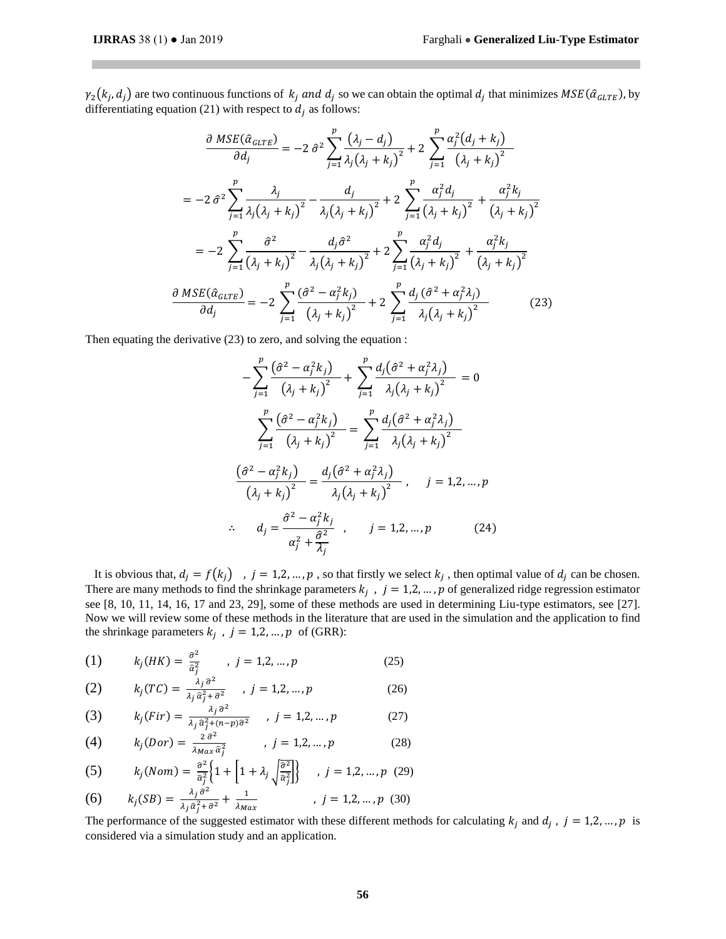$\gamma_2(k_j,d_j)$  are two continuous functions of  $k_j$  and  $d_j$  so we can obtain the optimal  $d_j$  that minimizes  $MSE(\hat{\alpha}_{GLTE})$ , by differentiating equation (21) with respect to  $d_i$  as follows:

$$
\frac{\partial MSE(\hat{\alpha}_{GLTE})}{\partial d_j} = -2 \hat{\sigma}^2 \sum_{j=1}^p \frac{(\lambda_j - d_j)}{\lambda_j (\lambda_j + k_j)^2} + 2 \sum_{j=1}^p \frac{\alpha_j^2 (d_j + k_j)}{(\lambda_j + k_j)^2}
$$

$$
= -2 \hat{\sigma}^2 \sum_{j=1}^p \frac{\lambda_j}{\lambda_j (\lambda_j + k_j)^2} - \frac{d_j}{\lambda_j (\lambda_j + k_j)^2} + 2 \sum_{j=1}^p \frac{\alpha_j^2 d_j}{(\lambda_j + k_j)^2} + \frac{\alpha_j^2 k_j}{(\lambda_j + k_j)^2}
$$

$$
= -2 \sum_{j=1}^p \frac{\hat{\sigma}^2}{(\lambda_j + k_j)^2} - \frac{d_j \hat{\sigma}^2}{\lambda_j (\lambda_j + k_j)^2} + 2 \sum_{j=1}^p \frac{\alpha_j^2 d_j}{(\lambda_j + k_j)^2} + \frac{\alpha_j^2 k_j}{(\lambda_j + k_j)^2}
$$

$$
\frac{\partial MSE(\hat{\alpha}_{GLTE})}{\partial d_j} = -2 \sum_{j=1}^p \frac{(\hat{\sigma}^2 - \alpha_j^2 k_j)}{(\lambda_j + k_j)^2} + 2 \sum_{j=1}^p \frac{d_j (\hat{\sigma}^2 + \alpha_j^2 \lambda_j)}{\lambda_j (\lambda_j + k_j)^2}
$$
(23)

Then equating the derivative (23) to zero, and solving the equation :

$$
-\sum_{j=1}^{p} \frac{(\hat{\sigma}^2 - \alpha_j^2 k_j)}{(\lambda_j + k_j)^2} + \sum_{j=1}^{p} \frac{d_j(\hat{\sigma}^2 + \alpha_j^2 \lambda_j)}{\lambda_j(\lambda_j + k_j)^2} = 0
$$
  

$$
\sum_{j=1}^{p} \frac{(\hat{\sigma}^2 - \alpha_j^2 k_j)}{(\lambda_j + k_j)^2} = \sum_{j=1}^{p} \frac{d_j(\hat{\sigma}^2 + \alpha_j^2 \lambda_j)}{\lambda_j(\lambda_j + k_j)^2}
$$
  

$$
\frac{(\hat{\sigma}^2 - \alpha_j^2 k_j)}{(\lambda_j + k_j)^2} = \frac{d_j(\hat{\sigma}^2 + \alpha_j^2 \lambda_j)}{\lambda_j(\lambda_j + k_j)^2}, \quad j = 1, 2, ..., p
$$
  

$$
\therefore d_j = \frac{\hat{\sigma}^2 - \alpha_j^2 k_j}{\alpha_j^2 + \frac{\hat{\sigma}^2}{\lambda_j}}, \quad j = 1, 2, ..., p
$$
 (24)

It is obvious that,  $d_j = f(k_j)$ ,  $j = 1, 2, ..., p$ , so that firstly we select  $k_j$ , then optimal value of  $d_j$  can be chosen. There are many methods to find the shrinkage parameters  $k_j$ ,  $j = 1, 2, ..., p$  of generalized ridge regression estimator see [8, 10, 11, 14, 16, 17 and 23, 29], some of these methods are used in determining Liu-type estimators, see [27]. Now we will review some of these methods in the literature that are used in the simulation and the application to find the shrinkage parameters  $k_j$ ,  $j = 1, 2, ..., p$  of (GRR):

(1) 
$$
k_j(HK) = \frac{\hat{\sigma}^2}{\hat{a}_j^2}
$$
,  $j = 1, 2, ..., p$  (25)

(2) 
$$
k_j(TC) = \frac{\lambda_j \hat{\sigma}^2}{\lambda_j \hat{\alpha}_j^2 + \hat{\sigma}^2}
$$
,  $j = 1, 2, ..., p$  (26)

(3) 
$$
k_j(Fir) = \frac{\lambda_j \hat{\sigma}^2}{\lambda_j \hat{\sigma}_j^2 + (n-p)\hat{\sigma}^2}, \quad j = 1, 2, \dots, p
$$
 (27)

(4) 
$$
k_j(Dor) = \frac{2 \hat{\sigma}^2}{\lambda_{Max} \hat{\sigma}_j^2}
$$
,  $j = 1, 2, ..., p$  (28)

(5) 
$$
k_j(Nom) = \frac{\partial^2}{\partial_j^2} \left\{ 1 + \left[ 1 + \lambda_j \sqrt{\frac{\partial^2}{\partial_j^2}} \right] \right\} , j = 1, 2, ..., p \quad (29)
$$

(6) 
$$
k_j(SB) = \frac{\lambda_j \hat{\sigma}^2}{\lambda_j \hat{\alpha}_j^2 + \hat{\sigma}^2} + \frac{1}{\lambda_{Max}}
$$
,  $j = 1, 2, ..., p$  (30)

The performance of the suggested estimator with these different methods for calculating  $k_j$  and  $d_j$ ,  $j = 1, 2, ..., p$  is considered via a simulation study and an application.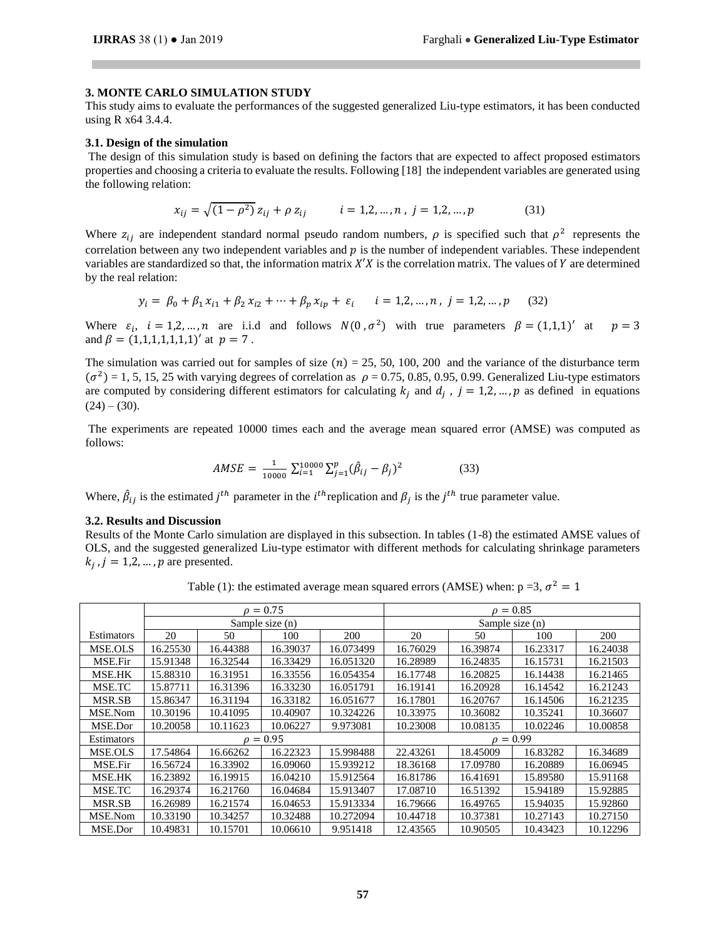### **3. MONTE CARLO SIMULATION STUDY**

This study aims to evaluate the performances of the suggested generalized Liu-type estimators, it has been conducted using R x64 3.4.4.

## **3.1. Design of the simulation**

The design of this simulation study is based on defining the factors that are expected to affect proposed estimators properties and choosing a criteria to evaluate the results. Following [18] the independent variables are generated using the following relation:

$$
x_{ij} = \sqrt{(1 - \rho^2)} z_{ij} + \rho z_{ij} \qquad i = 1, 2, ..., n, j = 1, 2, ..., p \tag{31}
$$

Where  $z_{ij}$  are independent standard normal pseudo random numbers,  $\rho$  is specified such that  $\rho^2$  represents the correlation between any two independent variables and  $p$  is the number of independent variables. These independent variables are standardized so that, the information matrix  $X'X$  is the correlation matrix. The values of  $Y$  are determined by the real relation:

$$
y_i = \beta_0 + \beta_1 x_{i1} + \beta_2 x_{i2} + \dots + \beta_p x_{ip} + \varepsilon_i \qquad i = 1, 2, \dots, n \, , \, j = 1, 2, \dots, p \tag{32}
$$

Where  $\varepsilon_i$ ,  $i = 1, 2, ..., n$  are i.i.d and follows  $N(0, \sigma^2)$  with true parameters  $\beta = (1, 1, 1)'$  at  $p = 3$ and  $\beta = (1,1,1,1,1,1,1)'$  at  $p = 7$ .

The simulation was carried out for samples of size  $(n) = 25, 50, 100, 200$  and the variance of the disturbance term  $(\sigma^2)$  = 1, 5, 15, 25 with varying degrees of correlation as  $\rho$  = 0.75, 0.85, 0.95, 0.99. Generalized Liu-type estimators are computed by considering different estimators for calculating  $k_j$  and  $d_j$ ,  $j = 1,2,...,p$  as defined in equations  $(24) - (30)$ .

The experiments are repeated 10000 times each and the average mean squared error (AMSE) was computed as follows:

$$
AMSE = \frac{1}{10000} \sum_{i=1}^{10000} \sum_{j=1}^{p} (\hat{\beta}_{ij} - \beta_j)^2
$$
 (33)

Where,  $\hat{\beta}_{ij}$  is the estimated  $j^{th}$  parameter in the *i*<sup>th</sup> replication and  $\beta_j$  is the *j*<sup>th</sup> true parameter value.

# **3.2. Results and Discussion**

Results of the Monte Carlo simulation are displayed in this subsection. In tables (1-8) the estimated AMSE values of OLS, and the suggested generalized Liu-type estimator with different methods for calculating shrinkage parameters  $k_j$ ,  $j = 1, 2, ..., p$  are presented.

Table (1): the estimated average mean squared errors (AMSE) when:  $p = 3$ ,  $\sigma^2 = 1$ 

|                |          |          | $\rho = 0.75$   |           | $\rho = 0.85$   |          |          |          |  |
|----------------|----------|----------|-----------------|-----------|-----------------|----------|----------|----------|--|
|                |          |          | Sample size (n) |           | Sample size (n) |          |          |          |  |
| Estimators     | 20       | 50       | 100             | 200       | 20              | 50       | 100      | 200      |  |
| <b>MSE.OLS</b> | 16.25530 | 16.44388 | 16.39037        | 16.073499 | 16.76029        | 16.39874 | 16.23317 | 16.24038 |  |
| MSE.Fir        | 15.91348 | 16.32544 | 16.33429        | 16.051320 | 16.28989        | 16.24835 | 16.15731 | 16.21503 |  |
| MSE.HK         | 15.88310 | 16.31951 | 16.33556        | 16.054354 | 16.17748        | 16.20825 | 16.14438 | 16.21465 |  |
| MSE.TC         | 15.87711 | 16.31396 | 16.33230        | 16.051791 | 16.19141        | 16.20928 | 16.14542 | 16.21243 |  |
| MSR.SB         | 15.86347 | 16.31194 | 16.33182        | 16.051677 | 16.17801        | 16.20767 | 16.14506 | 16.21235 |  |
| MSE.Nom        | 10.30196 | 10.41095 | 10.40907        | 10.324226 | 10.33975        | 10.36082 | 10.35241 | 10.36607 |  |
| MSE.Dor        | 10.20058 | 10.11623 | 10.06227        | 9.973081  | 10.23008        | 10.08135 | 10.02246 | 10.00858 |  |
| Estimators     |          |          | $\rho = 0.95$   |           | $\rho = 0.99$   |          |          |          |  |
| <b>MSE.OLS</b> | 17.54864 | 16.66262 | 16.22323        | 15.998488 | 22.43261        | 18.45009 | 16.83282 | 16.34689 |  |
| MSE.Fir        | 16.56724 | 16.33902 | 16.09060        | 15.939212 | 18.36168        | 17.09780 | 16.20889 | 16.06945 |  |
| MSE.HK         | 16.23892 | 16.19915 | 16.04210        | 15.912564 | 16.81786        | 16.41691 | 15.89580 | 15.91168 |  |
| MSE.TC         | 16.29374 | 16.21760 | 16.04684        | 15.913407 | 17.08710        | 16.51392 | 15.94189 | 15.92885 |  |
| MSR.SB         | 16.26989 | 16.21574 | 16.04653        | 15.913334 | 16.79666        | 16.49765 | 15.94035 | 15.92860 |  |
| MSE.Nom        | 10.33190 | 10.34257 | 10.32488        | 10.272094 | 10.44718        | 10.37381 | 10.27143 | 10.27150 |  |
| MSE.Dor        | 10.49831 | 10.15701 | 10.06610        | 9.951418  | 12.43565        | 10.90505 | 10.43423 | 10.12296 |  |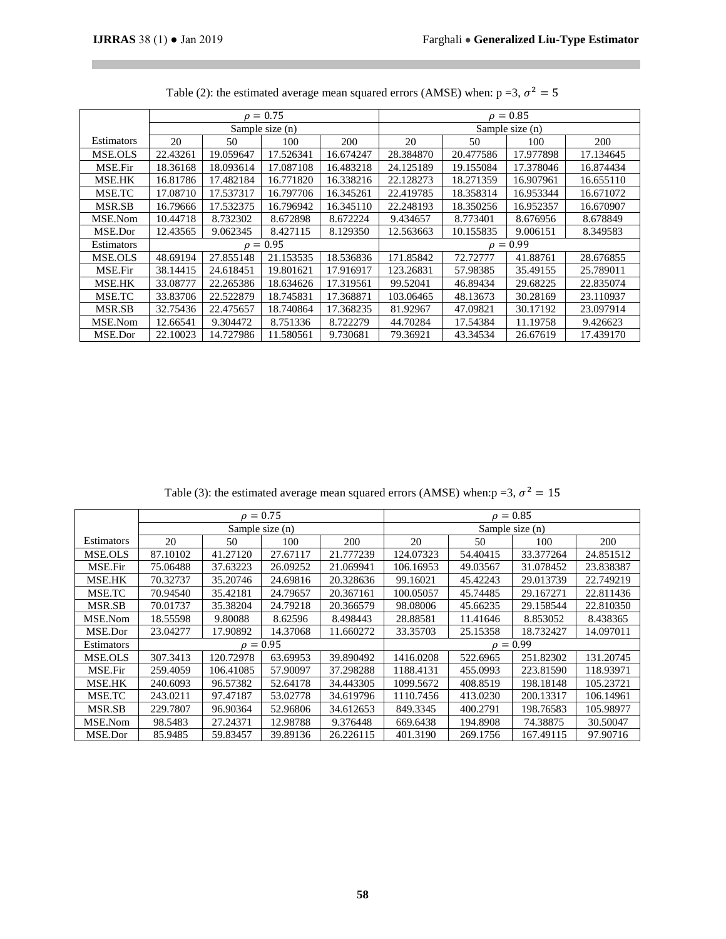T.

|                |          |           | $\rho = 0.75$   |           | $\rho = 0.85$   |           |           |           |  |
|----------------|----------|-----------|-----------------|-----------|-----------------|-----------|-----------|-----------|--|
|                |          |           | Sample size (n) |           | Sample size (n) |           |           |           |  |
| Estimators     | 20       | 50        | 100             | 200       | 20              | 50        | 100       | 200       |  |
| <b>MSE.OLS</b> | 22.43261 | 19.059647 | 17.526341       | 16.674247 | 28.384870       | 20.477586 | 17.977898 | 17.134645 |  |
| MSE.Fir        | 18.36168 | 18.093614 | 17.087108       | 16.483218 | 24.125189       | 19.155084 | 17.378046 | 16.874434 |  |
| MSE.HK         | 16.81786 | 17.482184 | 16.771820       | 16.338216 | 22.128273       | 18.271359 | 16.907961 | 16.655110 |  |
| MSE.TC         | 17.08710 | 17.537317 | 16.797706       | 16.345261 | 22.419785       | 18.358314 | 16.953344 | 16.671072 |  |
| MSR.SB         | 16.79666 | 17.532375 | 16.796942       | 16.345110 | 22.248193       | 18.350256 | 16.952357 | 16.670907 |  |
| MSE.Nom        | 10.44718 | 8.732302  | 8.672898        | 8.672224  | 9.434657        | 8.773401  | 8.676956  | 8.678849  |  |
| MSE.Dor        | 12.43565 | 9.062345  | 8.427115        | 8.129350  | 12.563663       | 10.155835 | 9.006151  | 8.349583  |  |
| Estimators     |          |           | $\rho = 0.95$   |           | $\rho = 0.99$   |           |           |           |  |
| MSE.OLS        | 48.69194 | 27.855148 | 21.153535       | 18.536836 | 171.85842       | 72.72777  | 41.88761  | 28.676855 |  |
| MSE.Fir        | 38.14415 | 24.618451 | 19.801621       | 17.916917 | 123.26831       | 57.98385  | 35.49155  | 25.789011 |  |
| MSE.HK         | 33.08777 | 22.265386 | 18.634626       | 17.319561 | 99.52041        | 46.89434  | 29.68225  | 22.835074 |  |
| MSE.TC         | 33.83706 | 22.522879 | 18.745831       | 17.368871 | 103.06465       | 48.13673  | 30.28169  | 23.110937 |  |
| MSR.SB         | 32.75436 | 22.475657 | 18.740864       | 17.368235 | 81.92967        | 47.09821  | 30.17192  | 23.097914 |  |
| MSE.Nom        | 12.66541 | 9.304472  | 8.751336        | 8.722279  | 44.70284        | 17.54384  | 11.19758  | 9.426623  |  |
| MSE.Dor        | 22.10023 | 14.727986 | 11.580561       | 9.730681  | 79.36921        | 43.34534  | 26.67619  | 17.439170 |  |

Table (2): the estimated average mean squared errors (AMSE) when:  $p = 3$ ,  $\sigma^2 = 5$ 

Table (3): the estimated average mean squared errors (AMSE) when:  $p = 3$ ,  $\sigma^2 = 15$ 

|                |          |               | $\rho = 0.75$   |           | $\rho = 0.85$   |          |           |           |  |
|----------------|----------|---------------|-----------------|-----------|-----------------|----------|-----------|-----------|--|
|                |          |               | Sample size (n) |           | Sample size (n) |          |           |           |  |
| Estimators     | 20       | 50            | 100             | 200       | 20              | 50       | 100       | 200       |  |
| <b>MSE.OLS</b> | 87.10102 | 41.27120      | 27.67117        | 21.777239 | 124.07323       | 54.40415 | 33.377264 | 24.851512 |  |
| MSE.Fir        | 75.06488 | 37.63223      | 26.09252        | 21.069941 | 106.16953       | 49.03567 | 31.078452 | 23.838387 |  |
| MSE.HK         | 70.32737 | 35.20746      | 24.69816        | 20.328636 | 99.16021        | 45.42243 | 29.013739 | 22.749219 |  |
| MSE.TC         | 70.94540 | 35.42181      | 24.79657        | 20.367161 | 100.05057       | 45.74485 | 29.167271 | 22.811436 |  |
| MSR.SB         | 70.01737 | 35.38204      | 24.79218        | 20.366579 | 98.08006        | 45.66235 | 29.158544 | 22.810350 |  |
| MSE.Nom        | 18.55598 | 9.80088       | 8.62596         | 8.498443  | 28.88581        | 11.41646 | 8.853052  | 8.438365  |  |
| MSE.Dor        | 23.04277 | 17.90892      | 14.37068        | 11.660272 | 33.35703        | 25.15358 | 18.732427 | 14.097011 |  |
| Estimators     |          | $\rho = 0.95$ |                 |           | $\rho = 0.99$   |          |           |           |  |
| <b>MSE.OLS</b> | 307.3413 | 120.72978     | 63.69953        | 39.890492 | 1416.0208       | 522.6965 | 251.82302 | 131.20745 |  |
| MSE.Fir        | 259.4059 | 106.41085     | 57.90097        | 37.298288 | 1188.4131       | 455.0993 | 223.81590 | 118.93971 |  |
| MSE.HK         | 240.6093 | 96.57382      | 52.64178        | 34.443305 | 1099.5672       | 408.8519 | 198.18148 | 105.23721 |  |
| MSE.TC         | 243.0211 | 97.47187      | 53.02778        | 34.619796 | 1110.7456       | 413.0230 | 200.13317 | 106.14961 |  |
| MSR.SB         | 229.7807 | 96.90364      | 52.96806        | 34.612653 | 849.3345        | 400.2791 | 198.76583 | 105.98977 |  |
| MSE.Nom        | 98.5483  | 27.24371      | 12.98788        | 9.376448  | 669.6438        | 194.8908 | 74.38875  | 30.50047  |  |
| MSE.Dor        | 85.9485  | 59.83457      | 39.89136        | 26.226115 | 401.3190        | 269.1756 | 167.49115 | 97.90716  |  |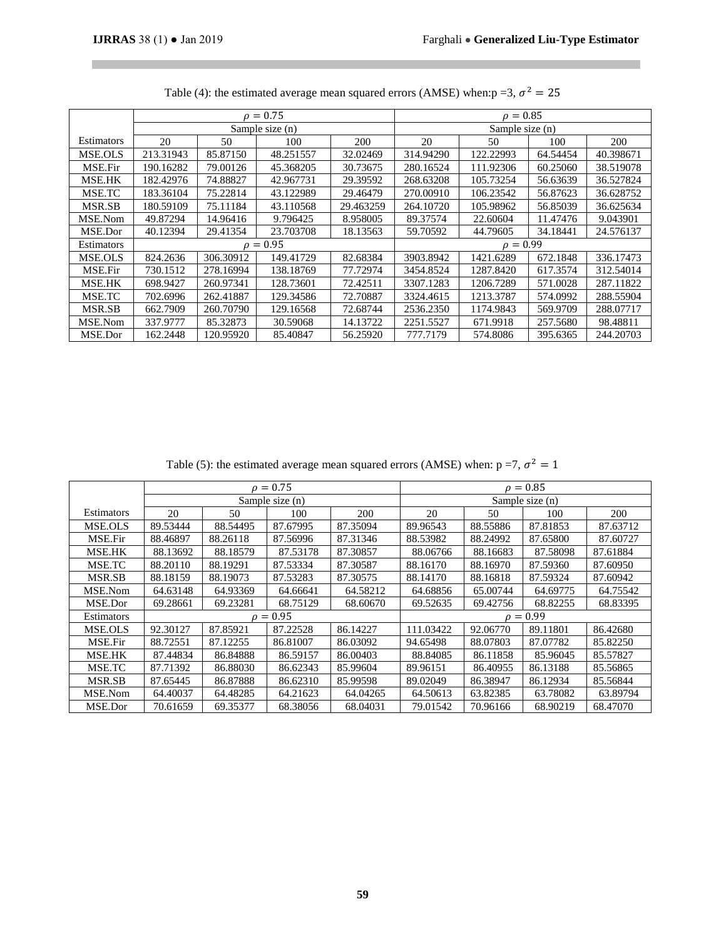$\mathcal{L}_{\mathcal{A}}$ 

 $\mathcal{L}^{\text{max}}$ 

|               |           |                      | $\rho = 0.75$   |           | $\rho = 0.85$   |           |          |           |  |
|---------------|-----------|----------------------|-----------------|-----------|-----------------|-----------|----------|-----------|--|
|               |           |                      | Sample size (n) |           | Sample size (n) |           |          |           |  |
| Estimators    | 20        | 50                   | 100             | 200       | 20              | 50        | 100      | 200       |  |
| MSE.OLS       | 213.31943 | 85.87150             | 48.251557       | 32.02469  | 314.94290       | 122.22993 | 64.54454 | 40.398671 |  |
| MSE.Fir       | 190.16282 | 79.00126             | 45.368205       | 30.73675  | 280.16524       | 111.92306 | 60.25060 | 38.519078 |  |
| MSE.HK        | 182.42976 | 74.88827             | 42.967731       | 29.39592  | 268.63208       | 105.73254 | 56.63639 | 36.527824 |  |
| MSE.TC        | 183.36104 | 75.22814             | 43.122989       | 29.46479  | 270.00910       | 106.23542 | 56.87623 | 36.628752 |  |
| MSR.SB        | 180.59109 | 75.11184             | 43.110568       | 29.463259 | 264.10720       | 105.98962 | 56.85039 | 36.625634 |  |
| MSE.Nom       | 49.87294  | 14.96416             | 9.796425        | 8.958005  | 89.37574        | 22.60604  | 11.47476 | 9.043901  |  |
| MSE.Dor       | 40.12394  | 29.41354             | 23.703708       | 18.13563  | 59.70592        | 44.79605  | 34.18441 | 24.576137 |  |
| Estimators    |           |                      | $\rho = 0.95$   |           | $\rho = 0.99$   |           |          |           |  |
| MSE.OLS       | 824.2636  | 306.30912            | 149.41729       | 82.68384  | 3903.8942       | 1421.6289 | 672.1848 | 336.17473 |  |
| MSE.Fir       | 730.1512  | 278.16994            | 138.18769       | 77.72974  | 3454.8524       | 1287.8420 | 617.3574 | 312.54014 |  |
| MSE.HK        | 698.9427  | 260.97341            | 128.73601       | 72.42511  | 3307.1283       | 1206.7289 | 571.0028 | 287.11822 |  |
| MSE.TC        | 702.6996  | 262.41887            | 129.34586       | 72.70887  | 3324.4615       | 1213.3787 | 574.0992 | 288.55904 |  |
| <b>MSR.SB</b> | 662.7909  | 260.70790            | 129.16568       | 72.68744  | 2536.2350       | 1174.9843 | 569.9709 | 288.07717 |  |
| MSE.Nom       | 337.9777  | 85.32873<br>30.59068 |                 | 14.13722  | 2251.5527       | 671.9918  | 257.5680 | 98.48811  |  |
| MSE.Dor       | 162.2448  | 120.95920            | 85.40847        | 56.25920  | 777.7179        | 574.8086  | 395.6365 | 244.20703 |  |

| Table (4): the estimated average mean squared errors (AMSE) when: $p = 3$ , $\sigma^2 = 25$ |  |  |  |
|---------------------------------------------------------------------------------------------|--|--|--|
|                                                                                             |  |  |  |

Table (5): the estimated average mean squared errors (AMSE) when:  $p = 7$ ,  $\sigma^2 = 1$ 

|            |          |          | $\rho = 0.75$     |          |               |          | $\rho = 0.85$   |          |  |
|------------|----------|----------|-------------------|----------|---------------|----------|-----------------|----------|--|
|            |          |          | Sample size $(n)$ |          |               |          | Sample size (n) |          |  |
| Estimators | 20       | 50       | 100               | 200      | 20            | 50       | 100             | 200      |  |
| MSE.OLS    | 89.53444 | 88.54495 | 87.67995          | 87.35094 | 89.96543      | 88.55886 | 87.81853        | 87.63712 |  |
| MSE.Fir    | 88.46897 | 88.26118 | 87.56996          | 87.31346 | 88.53982      | 88.24992 | 87.65800        | 87.60727 |  |
| MSE.HK     | 88.13692 | 88.18579 | 87.53178          | 87.30857 | 88.06766      | 88.16683 | 87.58098        | 87.61884 |  |
| MSE.TC     | 88.20110 | 88.19291 | 87.53334          | 87.30587 | 88.16170      | 88.16970 | 87.59360        | 87.60950 |  |
| MSR.SB     | 88.18159 | 88.19073 | 87.53283          | 87.30575 | 88.14170      | 88.16818 | 87.59324        | 87.60942 |  |
| MSE.Nom    | 64.63148 | 64.93369 | 64.66641          | 64.58212 | 64.68856      | 65.00744 | 64.69775        | 64.75542 |  |
| MSE.Dor    | 69.28661 | 69.23281 | 68.75129          | 68.60670 | 69.52635      | 69.42756 | 68.82255        | 68.83395 |  |
| Estimators |          |          | $\rho = 0.95$     |          | $\rho = 0.99$ |          |                 |          |  |
| MSE.OLS    | 92.30127 | 87.85921 | 87.22528          | 86.14227 | 111.03422     | 92.06770 | 89.11801        | 86.42680 |  |
| MSE.Fir    | 88.72551 | 87.12255 | 86.81007          | 86.03092 | 94.65498      | 88.07803 | 87.07782        | 85.82250 |  |
| MSE.HK     | 87.44834 | 86.84888 | 86.59157          | 86.00403 | 88.84085      | 86.11858 | 85.96045        | 85.57827 |  |
| MSE.TC     | 87.71392 | 86.88030 | 86.62343          | 85.99604 | 89.96151      | 86.40955 | 86.13188        | 85.56865 |  |
| MSR.SB     | 87.65445 | 86.87888 | 86.62310          | 85.99598 | 89.02049      | 86.38947 | 86.12934        | 85.56844 |  |
| MSE.Nom    | 64.40037 | 64.48285 | 64.21623          | 64.04265 | 64.50613      | 63.82385 | 63.78082        | 63.89794 |  |
| MSE.Dor    | 70.61659 | 69.35377 | 68.38056          | 68.04031 | 79.01542      | 70.96166 | 68.90219        | 68.47070 |  |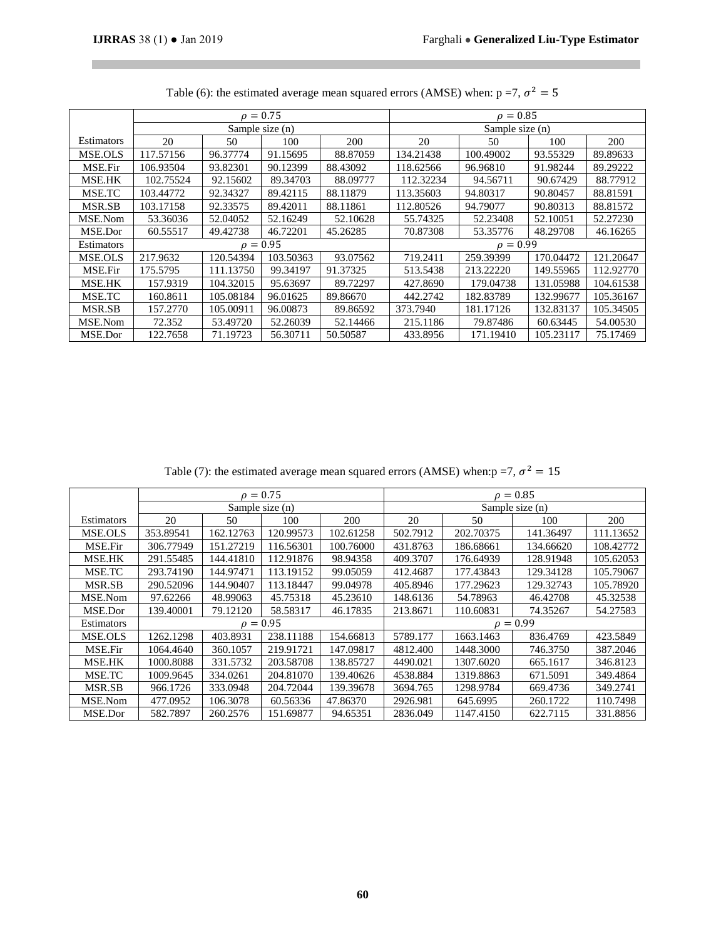П

|                |           |                 | $\rho = 0.75$ |          | $\rho = 0.85$   |           |           |           |  |
|----------------|-----------|-----------------|---------------|----------|-----------------|-----------|-----------|-----------|--|
|                |           | Sample size (n) |               |          | Sample size (n) |           |           |           |  |
| Estimators     | 20        | 50              | 100           | 200      | 20              | 50        | 100       | 200       |  |
| MSE.OLS        | 117.57156 | 96.37774        | 91.15695      | 88.87059 | 134.21438       | 100.49002 | 93.55329  | 89.89633  |  |
| MSE.Fir        | 106.93504 | 93.82301        | 90.12399      | 88.43092 | 118.62566       | 96.96810  | 91.98244  | 89.29222  |  |
| MSE.HK         | 102.75524 | 92.15602        | 89.34703      | 88.09777 | 112.32234       | 94.56711  | 90.67429  | 88.77912  |  |
| MSE.TC         | 103.44772 | 92.34327        | 89.42115      | 88.11879 | 113.35603       | 94.80317  | 90.80457  | 88.81591  |  |
| <b>MSR.SB</b>  | 103.17158 | 92.33575        | 89.42011      | 88.11861 | 112.80526       | 94.79077  | 90.80313  | 88.81572  |  |
| MSE.Nom        | 53.36036  | 52.04052        | 52.16249      | 52.10628 | 55.74325        | 52.23408  | 52.10051  | 52.27230  |  |
| MSE.Dor        | 60.55517  | 49.42738        | 46.72201      | 45.26285 | 70.87308        | 53.35776  | 48.29708  | 46.16265  |  |
| Estimators     |           |                 | $\rho = 0.95$ |          | $\rho = 0.99$   |           |           |           |  |
| <b>MSE.OLS</b> | 217.9632  | 120.54394       | 103.50363     | 93.07562 | 719.2411        | 259.39399 | 170.04472 | 121.20647 |  |
| MSE.Fir        | 175.5795  | 111.13750       | 99.34197      | 91.37325 | 513.5438        | 213.22220 | 149.55965 | 112.92770 |  |
| MSE.HK         | 157.9319  | 104.32015       | 95.63697      | 89.72297 | 427.8690        | 179.04738 | 131.05988 | 104.61538 |  |
| MSE.TC         | 160.8611  | 105.08184       | 96.01625      | 89.86670 | 442.2742        | 182.83789 | 132.99677 | 105.36167 |  |
| MSR.SB         | 157.2770  | 105.00911       | 96.00873      | 89.86592 | 373.7940        | 181.17126 | 132.83137 | 105.34505 |  |
| MSE.Nom        | 72.352    | 53.49720        | 52.26039      | 52.14466 | 215.1186        | 79.87486  | 60.63445  | 54.00530  |  |
| MSE.Dor        | 122.7658  | 71.19723        | 56.30711      | 50.50587 | 433.8956        | 171.19410 | 105.23117 | 75.17469  |  |

Table (6): the estimated average mean squared errors (AMSE) when:  $p = 7$ ,  $\sigma^2 = 5$ 

Table (7): the estimated average mean squared errors (AMSE) when:  $p = 7$ ,  $\sigma^2 = 15$ 

|                |           |           | $\rho = 0.75$   |           |                 |           | $\rho = 0.85$ |           |  |
|----------------|-----------|-----------|-----------------|-----------|-----------------|-----------|---------------|-----------|--|
|                |           |           | Sample size (n) |           | Sample size (n) |           |               |           |  |
| Estimators     | 20        | 50        | 100             | 200       | 20              | 50        | 100           | 200       |  |
| <b>MSE.OLS</b> | 353.89541 | 162.12763 | 120.99573       | 102.61258 | 502.7912        | 202.70375 | 141.36497     | 111.13652 |  |
| MSE.Fir        | 306.77949 | 151.27219 | 116.56301       | 100.76000 | 431.8763        | 186.68661 | 134.66620     | 108.42772 |  |
| MSE.HK         | 291.55485 | 144.41810 | 112.91876       | 98.94358  | 409.3707        | 176.64939 | 128.91948     | 105.62053 |  |
| MSE.TC         | 293.74190 | 144.97471 | 113.19152       | 99.05059  | 412.4687        | 177.43843 | 129.34128     | 105.79067 |  |
| MSR.SB         | 290.52096 | 144.90407 | 113.18447       | 99.04978  | 405.8946        | 177.29623 | 129.32743     | 105.78920 |  |
| MSE.Nom        | 97.62266  | 48.99063  | 45.75318        | 45.23610  | 148.6136        | 54.78963  | 46.42708      | 45.32538  |  |
| MSE.Dor        | 139.40001 | 79.12120  | 58.58317        | 46.17835  | 213.8671        | 110.60831 | 74.35267      | 54.27583  |  |
| Estimators     |           |           | $\rho = 0.95$   |           | $\rho = 0.99$   |           |               |           |  |
| MSE.OLS        | 1262.1298 | 403.8931  | 238.11188       | 154.66813 | 5789.177        | 1663.1463 | 836.4769      | 423.5849  |  |
| MSE.Fir        | 1064.4640 | 360.1057  | 219.91721       | 147.09817 | 4812.400        | 1448.3000 | 746.3750      | 387.2046  |  |
| MSE.HK         | 1000.8088 | 331.5732  | 203.58708       | 138.85727 | 4490.021        | 1307.6020 | 665.1617      | 346.8123  |  |
| MSE.TC         | 1009.9645 | 334.0261  | 204.81070       | 139.40626 | 4538.884        | 1319.8863 | 671.5091      | 349.4864  |  |
| MSR.SB         | 966.1726  | 333.0948  | 204.72044       | 139.39678 | 3694.765        | 1298.9784 | 669.4736      | 349.2741  |  |
| MSE.Nom        | 477.0952  | 106.3078  | 60.56336        | 47.86370  | 2926.981        | 645.6995  | 260.1722      | 110.7498  |  |
| MSE.Dor        | 582.7897  | 260.2576  | 151.69877       | 94.65351  | 2836.049        | 1147.4150 | 622.7115      | 331.8856  |  |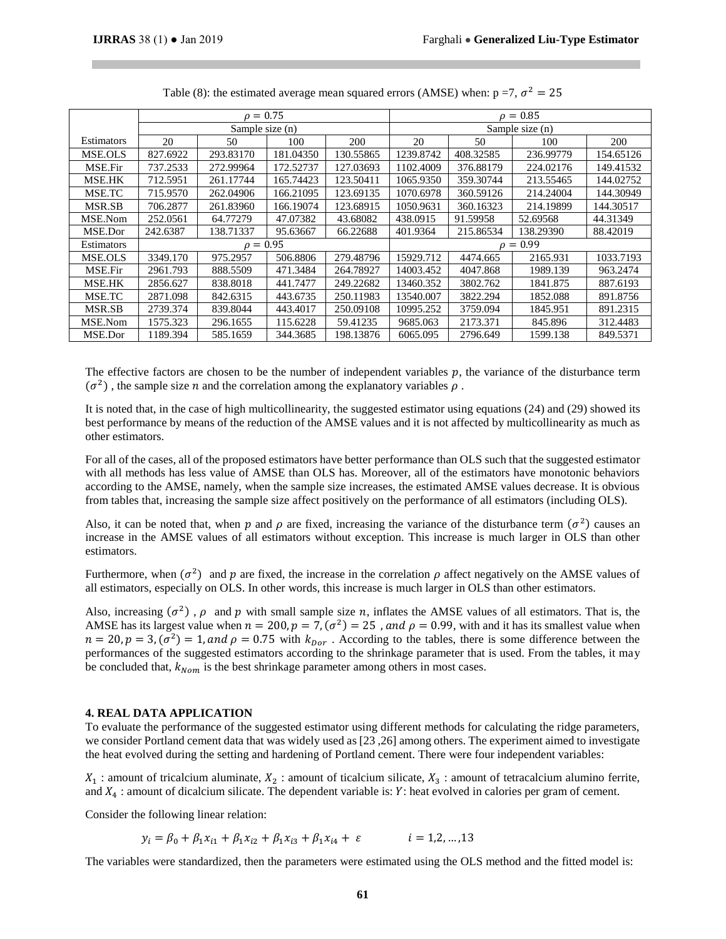|               |          | $\rho = 0.75$   |           |           | $\rho = 0.85$   |           |           |           |
|---------------|----------|-----------------|-----------|-----------|-----------------|-----------|-----------|-----------|
|               |          | Sample size (n) |           |           | Sample size (n) |           |           |           |
| Estimators    | 20       | 50              | 100       | 200       | 20              | 50        | 100       | 200       |
| MSE.OLS       | 827.6922 | 293.83170       | 181.04350 | 130.55865 | 1239.8742       | 408.32585 | 236.99779 | 154.65126 |
| MSE.Fir       | 737.2533 | 272.99964       | 172.52737 | 127.03693 | 1102.4009       | 376.88179 | 224.02176 | 149.41532 |
| MSE.HK        | 712.5951 | 261.17744       | 165.74423 | 123.50411 | 1065.9350       | 359.30744 | 213.55465 | 144.02752 |
| MSE.TC        | 715.9570 | 262.04906       | 166.21095 | 123.69135 | 1070.6978       | 360.59126 | 214.24004 | 144.30949 |
| MSR.SB        | 706.2877 | 261.83960       | 166.19074 | 123.68915 | 1050.9631       | 360.16323 | 214.19899 | 144.30517 |
| MSE.Nom       | 252.0561 | 64.77279        | 47.07382  | 43.68082  | 438.0915        | 91.59958  | 52.69568  | 44.31349  |
| MSE.Dor       | 242.6387 | 138.71337       | 95.63667  | 66.22688  | 401.9364        | 215.86534 | 138.29390 | 88.42019  |
| Estimators    |          | $\rho = 0.95$   |           |           | $\rho = 0.99$   |           |           |           |
| MSE.OLS       | 3349.170 | 975.2957        | 506.8806  | 279.48796 | 15929.712       | 4474.665  | 2165.931  | 1033.7193 |
| MSE.Fir       | 2961.793 | 888.5509        | 471.3484  | 264.78927 | 14003.452       | 4047.868  | 1989.139  | 963.2474  |
| <b>MSE.HK</b> | 2856.627 | 838.8018        | 441.7477  | 249.22682 | 13460.352       | 3802.762  | 1841.875  | 887.6193  |
| MSE.TC        | 2871.098 | 842.6315        | 443.6735  | 250.11983 | 13540.007       | 3822.294  | 1852.088  | 891.8756  |
| MSR.SB        | 2739.374 | 839.8044        | 443.4017  | 250.09108 | 10995.252       | 3759.094  | 1845.951  | 891.2315  |
| MSE.Nom       | 1575.323 | 296.1655        | 115.6228  | 59.41235  | 9685.063        | 2173.371  | 845.896   | 312.4483  |
| MSE.Dor       | 1189.394 | 585.1659        | 344.3685  | 198.13876 | 6065.095        | 2796.649  | 1599.138  | 849.5371  |

Table (8): the estimated average mean squared errors (AMSE) when:  $p = 7$ ,  $\sigma^2 = 25$ 

The effective factors are chosen to be the number of independent variables  $p$ , the variance of the disturbance term  $(\sigma^2)$ , the sample size *n* and the correlation among the explanatory variables  $\rho$ .

It is noted that, in the case of high multicollinearity, the suggested estimator using equations (24) and (29) showed its best performance by means of the reduction of the AMSE values and it is not affected by multicollinearity as much as other estimators.

For all of the cases, all of the proposed estimators have better performance than OLS such that the suggested estimator with all methods has less value of AMSE than OLS has. Moreover, all of the estimators have monotonic behaviors according to the AMSE, namely, when the sample size increases, the estimated AMSE values decrease. It is obvious from tables that, increasing the sample size affect positively on the performance of all estimators (including OLS).

Also, it can be noted that, when p and  $\rho$  are fixed, increasing the variance of the disturbance term  $(\sigma^2)$  causes an increase in the AMSE values of all estimators without exception. This increase is much larger in OLS than other estimators.

Furthermore, when  $(\sigma^2)$  and p are fixed, the increase in the correlation  $\rho$  affect negatively on the AMSE values of all estimators, especially on OLS. In other words, this increase is much larger in OLS than other estimators.

Also, increasing  $(\sigma^2)$ ,  $\rho$  and  $p$  with small sample size  $n$ , inflates the AMSE values of all estimators. That is, the AMSE has its largest value when  $n = 200$ ,  $p = 7$ ,  $(\sigma^2) = 25$ , and  $\rho = 0.99$ , with and it has its smallest value when  $n = 20$ ,  $p = 3$ ,  $(\sigma^2) = 1$ , and  $\rho = 0.75$  with  $k_{\text{Dor}}$ . According to the tables, there is some difference between the performances of the suggested estimators according to the shrinkage parameter that is used. From the tables, it may be concluded that,  $k_{Nom}$  is the best shrinkage parameter among others in most cases.

# **4. REAL DATA APPLICATION**

To evaluate the performance of the suggested estimator using different methods for calculating the ridge parameters, we consider Portland cement data that was widely used as [23 ,26] among others. The experiment aimed to investigate the heat evolved during the setting and hardening of Portland cement. There were four independent variables:

 $X_1$ : amount of tricalcium aluminate,  $X_2$ : amount of ticalcium silicate,  $X_3$ : amount of tetracalcium alumino ferrite, and  $X_4$ : amount of dicalcium silicate. The dependent variable is: Y: heat evolved in calories per gram of cement.

Consider the following linear relation:

$$
y_i = \beta_0 + \beta_1 x_{i1} + \beta_1 x_{i2} + \beta_1 x_{i3} + \beta_1 x_{i4} + \varepsilon \qquad i = 1, 2, ..., 13
$$

The variables were standardized, then the parameters were estimated using the OLS method and the fitted model is: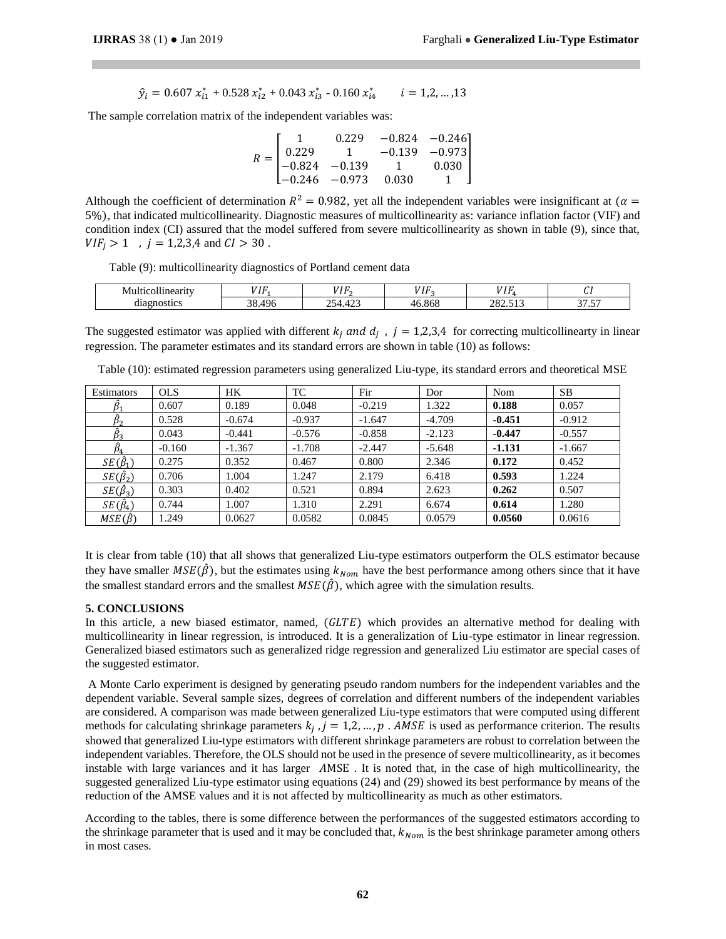$$
\hat{y}_i = 0.607 x_{i1}^* + 0.528 x_{i2}^* + 0.043 x_{i3}^* - 0.160 x_{i4}^* \qquad i = 1, 2, ..., 13
$$

The sample correlation matrix of the independent variables was:

$$
R = \begin{bmatrix} 1 & 0.229 & -0.824 & -0.246 \\ 0.229 & 1 & -0.139 & -0.973 \\ -0.824 & -0.139 & 1 & 0.030 \\ -0.246 & -0.973 & 0.030 & 1 \end{bmatrix}
$$

Although the coefficient of determination  $R^2 = 0.982$ , yet all the independent variables were insignificant at  $(\alpha =$ 5%), that indicated multicollinearity. Diagnostic measures of multicollinearity as: variance inflation factor (VIF) and condition index (CI) assured that the model suffered from severe multicollinearity as shown in table (9), since that,  $VIF_i > 1$ ,  $j = 1,2,3,4$  and  $CI > 30$ .

Table (9): multicollinearity diagnostics of Portland cement data

| --<br>'Inearity<br>M<br>м | 777<br>. .                | ,,,,,<br>. .                   | <b>****</b><br>г.<br>. . | $- - - -$             | <u>u.</u>                     |
|---------------------------|---------------------------|--------------------------------|--------------------------|-----------------------|-------------------------------|
| lgnostics<br>um           | 496<br>$\mathcal{D}$<br>, | $\sim$<br>n r<br>৲∠<br>╌<br>سد | .868<br>4ŕ               | - -<br>າດາ<br>202.313 | $-$<br>$\sim$ $-$<br>. .<br>╯ |

The suggested estimator was applied with different  $k_j$  and  $d_j$ ,  $j = 1,2,3,4$  for correcting multicollinearty in linear regression. The parameter estimates and its standard errors are shown in table (10) as follows:

| Estimators          | <b>OLS</b> | <b>HK</b> | TC       | Fir      | Dor      | Nom      | SB.      |
|---------------------|------------|-----------|----------|----------|----------|----------|----------|
|                     | 0.607      | 0.189     | 0.048    | $-0.219$ | 1.322    | 0.188    | 0.057    |
| $\hat{\beta}_2$     | 0.528      | $-0.674$  | $-0.937$ | $-1.647$ | $-4.709$ | $-0.451$ | $-0.912$ |
| Þз                  | 0.043      | $-0.441$  | $-0.576$ | $-0.858$ | $-2.123$ | $-0.447$ | $-0.557$ |
| $\hat{\beta}_4$     | $-0.160$   | $-1.367$  | $-1.708$ | $-2.447$ | $-5.648$ | $-1.131$ | $-1.667$ |
| $SE(\hat{\beta}_1)$ | 0.275      | 0.352     | 0.467    | 0.800    | 2.346    | 0.172    | 0.452    |
| $SE(\hat{\beta}_2)$ | 0.706      | 1.004     | 1.247    | 2.179    | 6.418    | 0.593    | 1.224    |
| $SE(\hat{\beta}_3)$ | 0.303      | 0.402     | 0.521    | 0.894    | 2.623    | 0.262    | 0.507    |
| $SE(\hat{\beta}_4)$ | 0.744      | 1.007     | 1.310    | 2.291    | 6.674    | 0.614    | 1.280    |
| $MSE(\hat{\beta})$  | 1.249      | 0.0627    | 0.0582   | 0.0845   | 0.0579   | 0.0560   | 0.0616   |

Table (10): estimated regression parameters using generalized Liu-type, its standard errors and theoretical MSE

It is clear from table (10) that all shows that generalized Liu-type estimators outperform the OLS estimator because they have smaller  $MSE(\hat{\beta})$ , but the estimates using  $k_{Nom}$  have the best performance among others since that it have the smallest standard errors and the smallest  $MSE(\hat{\beta})$ , which agree with the simulation results.

#### **5. CONCLUSIONS**

In this article, a new biased estimator, named,  $(GLTE)$  which provides an alternative method for dealing with multicollinearity in linear regression, is introduced. It is a generalization of Liu-type estimator in linear regression. Generalized biased estimators such as generalized ridge regression and generalized Liu estimator are special cases of the suggested estimator.

A Monte Carlo experiment is designed by generating pseudo random numbers for the independent variables and the dependent variable. Several sample sizes, degrees of correlation and different numbers of the independent variables are considered. A comparison was made between generalized Liu-type estimators that were computed using different methods for calculating shrinkage parameters  $k_j$ ,  $j = 1, 2, ..., p$ . AMSE is used as performance criterion. The results showed that generalized Liu-type estimators with different shrinkage parameters are robust to correlation between the independent variables. Therefore, the OLS should not be used in the presence of severe multicollinearity, as it becomes instable with large variances and it has larger MSE . It is noted that, in the case of high multicollinearity, the suggested generalized Liu-type estimator using equations (24) and (29) showed its best performance by means of the reduction of the AMSE values and it is not affected by multicollinearity as much as other estimators.

According to the tables, there is some difference between the performances of the suggested estimators according to the shrinkage parameter that is used and it may be concluded that,  $k_{\text{Nom}}$  is the best shrinkage parameter among others in most cases.